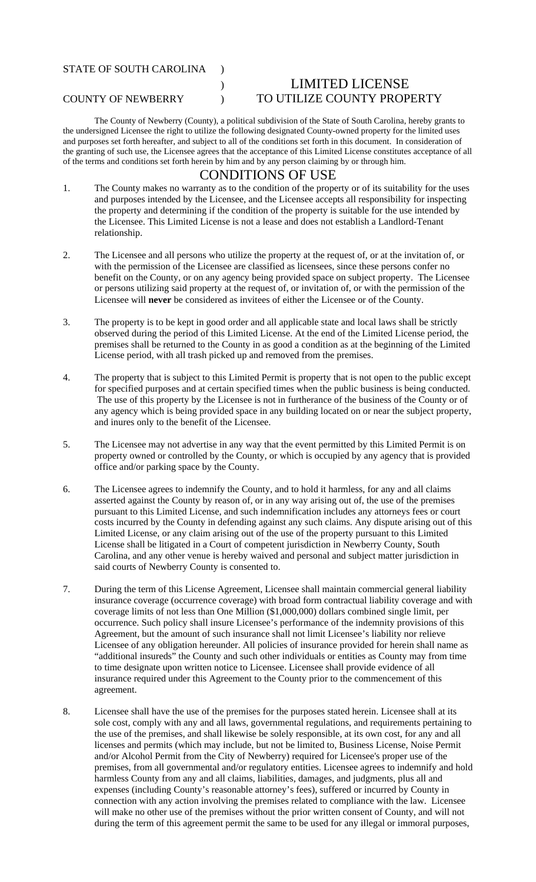## STATE OF SOUTH CAROLINA )

## ) LIMITED LICENSE COUNTY OF NEWBERRY ) TO UTILIZE COUNTY PROPERTY

The County of Newberry (County), a political subdivision of the State of South Carolina, hereby grants to the undersigned Licensee the right to utilize the following designated County-owned property for the limited uses and purposes set forth hereafter, and subject to all of the conditions set forth in this document. In consideration of the granting of such use, the Licensee agrees that the acceptance of this Limited License constitutes acceptance of all of the terms and conditions set forth herein by him and by any person claiming by or through him.

## CONDITIONS OF USE

- 1. The County makes no warranty as to the condition of the property or of its suitability for the uses and purposes intended by the Licensee, and the Licensee accepts all responsibility for inspecting the property and determining if the condition of the property is suitable for the use intended by the Licensee. This Limited License is not a lease and does not establish a Landlord-Tenant relationship.
- 2. The Licensee and all persons who utilize the property at the request of, or at the invitation of, or with the permission of the Licensee are classified as licensees, since these persons confer no benefit on the County, or on any agency being provided space on subject property. The Licensee or persons utilizing said property at the request of, or invitation of, or with the permission of the Licensee will **never** be considered as invitees of either the Licensee or of the County.
- 3. The property is to be kept in good order and all applicable state and local laws shall be strictly observed during the period of this Limited License. At the end of the Limited License period, the premises shall be returned to the County in as good a condition as at the beginning of the Limited License period, with all trash picked up and removed from the premises.
- 4. The property that is subject to this Limited Permit is property that is not open to the public except for specified purposes and at certain specified times when the public business is being conducted. The use of this property by the Licensee is not in furtherance of the business of the County or of any agency which is being provided space in any building located on or near the subject property, and inures only to the benefit of the Licensee.
- 5. The Licensee may not advertise in any way that the event permitted by this Limited Permit is on property owned or controlled by the County, or which is occupied by any agency that is provided office and/or parking space by the County.
- 6. The Licensee agrees to indemnify the County, and to hold it harmless, for any and all claims asserted against the County by reason of, or in any way arising out of, the use of the premises pursuant to this Limited License, and such indemnification includes any attorneys fees or court costs incurred by the County in defending against any such claims. Any dispute arising out of this Limited License, or any claim arising out of the use of the property pursuant to this Limited License shall be litigated in a Court of competent jurisdiction in Newberry County, South Carolina, and any other venue is hereby waived and personal and subject matter jurisdiction in said courts of Newberry County is consented to.
- 7. During the term of this License Agreement, Licensee shall maintain commercial general liability insurance coverage (occurrence coverage) with broad form contractual liability coverage and with coverage limits of not less than One Million (\$1,000,000) dollars combined single limit, per occurrence. Such policy shall insure Licensee's performance of the indemnity provisions of this Agreement, but the amount of such insurance shall not limit Licensee's liability nor relieve Licensee of any obligation hereunder. All policies of insurance provided for herein shall name as "additional insureds" the County and such other individuals or entities as County may from time to time designate upon written notice to Licensee. Licensee shall provide evidence of all insurance required under this Agreement to the County prior to the commencement of this agreement.
- 8. Licensee shall have the use of the premises for the purposes stated herein. Licensee shall at its sole cost, comply with any and all laws, governmental regulations, and requirements pertaining to the use of the premises, and shall likewise be solely responsible, at its own cost, for any and all licenses and permits (which may include, but not be limited to, Business License, Noise Permit and/or Alcohol Permit from the City of Newberry) required for Licensee's proper use of the premises, from all governmental and/or regulatory entities. Licensee agrees to indemnify and hold harmless County from any and all claims, liabilities, damages, and judgments, plus all and expenses (including County's reasonable attorney's fees), suffered or incurred by County in connection with any action involving the premises related to compliance with the law. Licensee will make no other use of the premises without the prior written consent of County, and will not during the term of this agreement permit the same to be used for any illegal or immoral purposes,